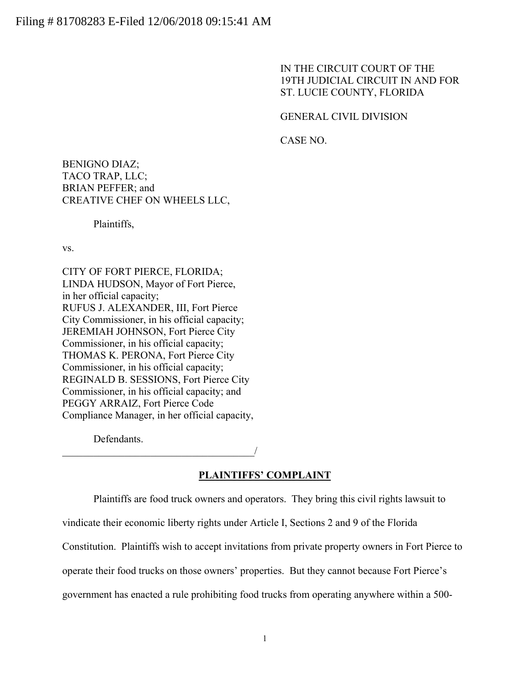IN THE CIRCUIT COURT OF THE 19TH JUDICIAL CIRCUIT IN AND FOR ST. LUCIE COUNTY, FLORIDA

# GENERAL CIVIL DIVISION

CASE NO.

BENIGNO DIAZ; TACO TRAP, LLC; BRIAN PEFFER; and CREATIVE CHEF ON WHEELS LLC,

Plaintiffs,

vs.

CITY OF FORT PIERCE, FLORIDA; LINDA HUDSON, Mayor of Fort Pierce, in her official capacity; RUFUS J. ALEXANDER, III, Fort Pierce City Commissioner, in his official capacity; JEREMIAH JOHNSON, Fort Pierce City Commissioner, in his official capacity; THOMAS K. PERONA, Fort Pierce City Commissioner, in his official capacity; REGINALD B. SESSIONS, Fort Pierce City Commissioner, in his official capacity; and PEGGY ARRAIZ, Fort Pierce Code Compliance Manager, in her official capacity,

Defendants.

 $\overline{\phantom{a}}$ 

# **PLAINTIFFS' COMPLAINT**

Plaintiffs are food truck owners and operators. They bring this civil rights lawsuit to

vindicate their economic liberty rights under Article I, Sections 2 and 9 of the Florida

Constitution. Plaintiffs wish to accept invitations from private property owners in Fort Pierce to

operate their food trucks on those owners' properties. But they cannot because Fort Pierce's

government has enacted a rule prohibiting food trucks from operating anywhere within a 500-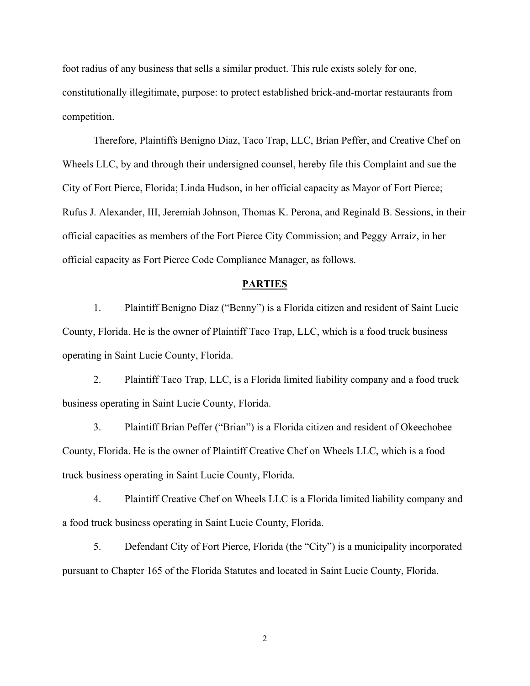foot radius of any business that sells a similar product. This rule exists solely for one, constitutionally illegitimate, purpose: to protect established brick-and-mortar restaurants from competition.

 Therefore, Plaintiffs Benigno Diaz, Taco Trap, LLC, Brian Peffer, and Creative Chef on Wheels LLC, by and through their undersigned counsel, hereby file this Complaint and sue the City of Fort Pierce, Florida; Linda Hudson, in her official capacity as Mayor of Fort Pierce; Rufus J. Alexander, III, Jeremiah Johnson, Thomas K. Perona, and Reginald B. Sessions, in their official capacities as members of the Fort Pierce City Commission; and Peggy Arraiz, in her official capacity as Fort Pierce Code Compliance Manager, as follows.

# **PARTIES**

1. Plaintiff Benigno Diaz ("Benny") is a Florida citizen and resident of Saint Lucie County, Florida. He is the owner of Plaintiff Taco Trap, LLC, which is a food truck business operating in Saint Lucie County, Florida.

2. Plaintiff Taco Trap, LLC, is a Florida limited liability company and a food truck business operating in Saint Lucie County, Florida.

3. Plaintiff Brian Peffer ("Brian") is a Florida citizen and resident of Okeechobee County, Florida. He is the owner of Plaintiff Creative Chef on Wheels LLC, which is a food truck business operating in Saint Lucie County, Florida.

4. Plaintiff Creative Chef on Wheels LLC is a Florida limited liability company and a food truck business operating in Saint Lucie County, Florida.

5. Defendant City of Fort Pierce, Florida (the "City") is a municipality incorporated pursuant to Chapter 165 of the Florida Statutes and located in Saint Lucie County, Florida.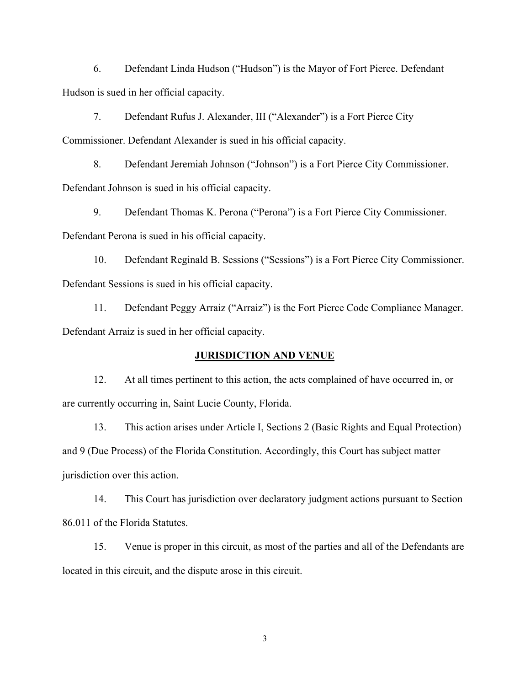6. Defendant Linda Hudson ("Hudson") is the Mayor of Fort Pierce. Defendant Hudson is sued in her official capacity.

7. Defendant Rufus J. Alexander, III ("Alexander") is a Fort Pierce City Commissioner. Defendant Alexander is sued in his official capacity.

8. Defendant Jeremiah Johnson ("Johnson") is a Fort Pierce City Commissioner. Defendant Johnson is sued in his official capacity.

9. Defendant Thomas K. Perona ("Perona") is a Fort Pierce City Commissioner. Defendant Perona is sued in his official capacity.

10. Defendant Reginald B. Sessions ("Sessions") is a Fort Pierce City Commissioner. Defendant Sessions is sued in his official capacity.

11. Defendant Peggy Arraiz ("Arraiz") is the Fort Pierce Code Compliance Manager. Defendant Arraiz is sued in her official capacity.

# **JURISDICTION AND VENUE**

12. At all times pertinent to this action, the acts complained of have occurred in, or are currently occurring in, Saint Lucie County, Florida.

13. This action arises under Article I, Sections 2 (Basic Rights and Equal Protection) and 9 (Due Process) of the Florida Constitution. Accordingly, this Court has subject matter jurisdiction over this action.

14. This Court has jurisdiction over declaratory judgment actions pursuant to Section 86.011 of the Florida Statutes.

15. Venue is proper in this circuit, as most of the parties and all of the Defendants are located in this circuit, and the dispute arose in this circuit.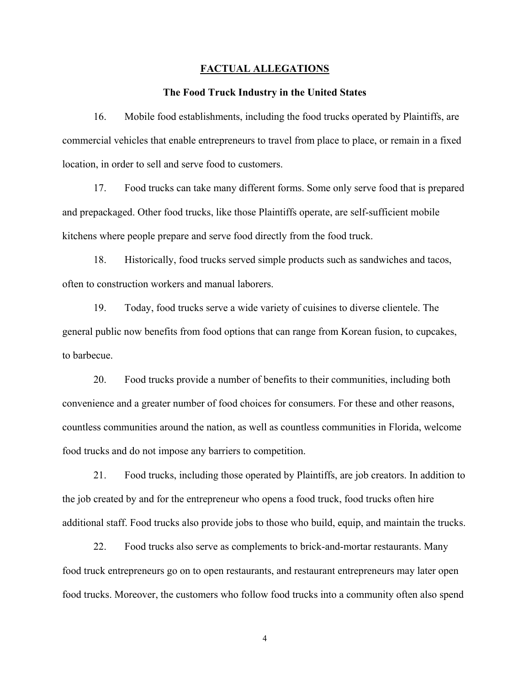#### **FACTUAL ALLEGATIONS**

# **The Food Truck Industry in the United States**

16. Mobile food establishments, including the food trucks operated by Plaintiffs, are commercial vehicles that enable entrepreneurs to travel from place to place, or remain in a fixed location, in order to sell and serve food to customers.

17. Food trucks can take many different forms. Some only serve food that is prepared and prepackaged. Other food trucks, like those Plaintiffs operate, are self-sufficient mobile kitchens where people prepare and serve food directly from the food truck.

18. Historically, food trucks served simple products such as sandwiches and tacos, often to construction workers and manual laborers.

19. Today, food trucks serve a wide variety of cuisines to diverse clientele. The general public now benefits from food options that can range from Korean fusion, to cupcakes, to barbecue.

20. Food trucks provide a number of benefits to their communities, including both convenience and a greater number of food choices for consumers. For these and other reasons, countless communities around the nation, as well as countless communities in Florida, welcome food trucks and do not impose any barriers to competition.

21. Food trucks, including those operated by Plaintiffs, are job creators. In addition to the job created by and for the entrepreneur who opens a food truck, food trucks often hire additional staff. Food trucks also provide jobs to those who build, equip, and maintain the trucks.

22. Food trucks also serve as complements to brick-and-mortar restaurants. Many food truck entrepreneurs go on to open restaurants, and restaurant entrepreneurs may later open food trucks. Moreover, the customers who follow food trucks into a community often also spend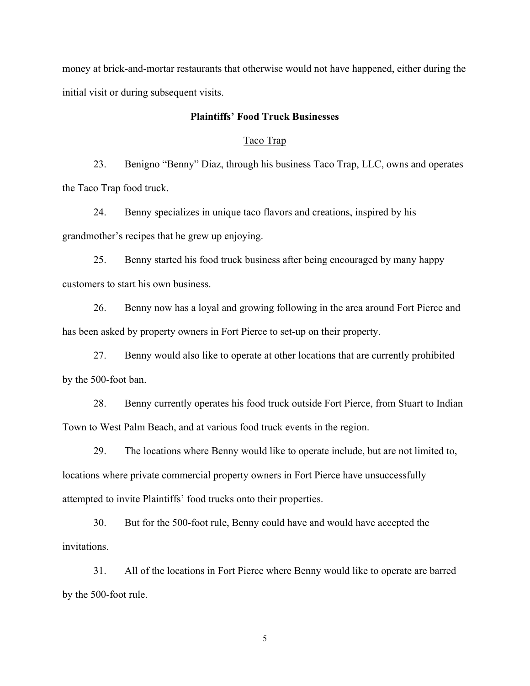money at brick-and-mortar restaurants that otherwise would not have happened, either during the initial visit or during subsequent visits.

# **Plaintiffs' Food Truck Businesses**

# Taco Trap

23. Benigno "Benny" Diaz, through his business Taco Trap, LLC, owns and operates the Taco Trap food truck.

24. Benny specializes in unique taco flavors and creations, inspired by his grandmother's recipes that he grew up enjoying.

25. Benny started his food truck business after being encouraged by many happy customers to start his own business.

26. Benny now has a loyal and growing following in the area around Fort Pierce and has been asked by property owners in Fort Pierce to set-up on their property.

27. Benny would also like to operate at other locations that are currently prohibited by the 500-foot ban.

28. Benny currently operates his food truck outside Fort Pierce, from Stuart to Indian Town to West Palm Beach, and at various food truck events in the region.

29. The locations where Benny would like to operate include, but are not limited to, locations where private commercial property owners in Fort Pierce have unsuccessfully attempted to invite Plaintiffs' food trucks onto their properties.

30. But for the 500-foot rule, Benny could have and would have accepted the invitations.

31. All of the locations in Fort Pierce where Benny would like to operate are barred by the 500-foot rule.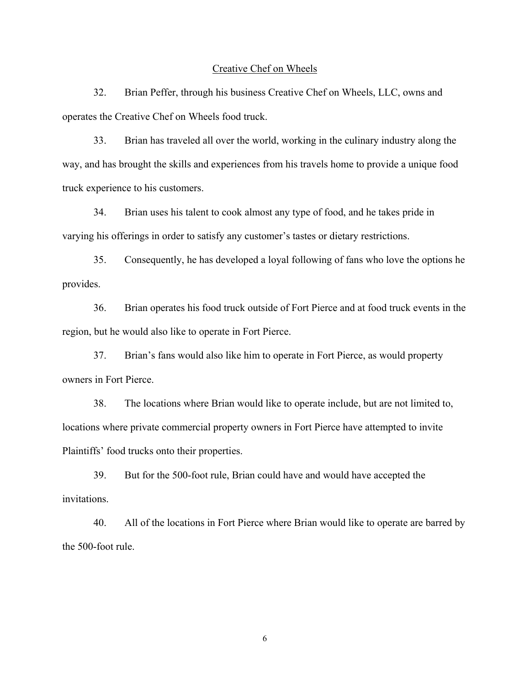#### Creative Chef on Wheels

32. Brian Peffer, through his business Creative Chef on Wheels, LLC, owns and operates the Creative Chef on Wheels food truck.

33. Brian has traveled all over the world, working in the culinary industry along the way, and has brought the skills and experiences from his travels home to provide a unique food truck experience to his customers.

34. Brian uses his talent to cook almost any type of food, and he takes pride in varying his offerings in order to satisfy any customer's tastes or dietary restrictions.

35. Consequently, he has developed a loyal following of fans who love the options he provides.

36. Brian operates his food truck outside of Fort Pierce and at food truck events in the region, but he would also like to operate in Fort Pierce.

37. Brian's fans would also like him to operate in Fort Pierce, as would property owners in Fort Pierce.

38. The locations where Brian would like to operate include, but are not limited to, locations where private commercial property owners in Fort Pierce have attempted to invite Plaintiffs' food trucks onto their properties.

39. But for the 500-foot rule, Brian could have and would have accepted the invitations.

40. All of the locations in Fort Pierce where Brian would like to operate are barred by the 500-foot rule.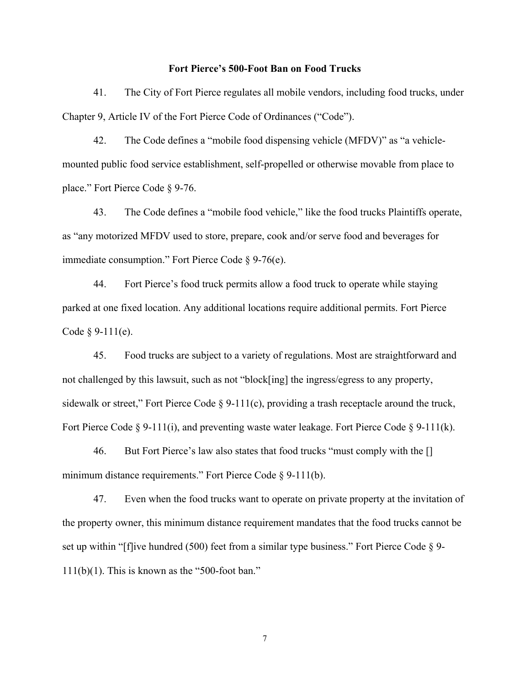### **Fort Pierce's 500-Foot Ban on Food Trucks**

41. The City of Fort Pierce regulates all mobile vendors, including food trucks, under Chapter 9, Article IV of the Fort Pierce Code of Ordinances ("Code").

42. The Code defines a "mobile food dispensing vehicle (MFDV)" as "a vehiclemounted public food service establishment, self-propelled or otherwise movable from place to place." Fort Pierce Code § 9-76.

43. The Code defines a "mobile food vehicle," like the food trucks Plaintiffs operate, as "any motorized MFDV used to store, prepare, cook and/or serve food and beverages for immediate consumption." Fort Pierce Code § 9-76(e).

44. Fort Pierce's food truck permits allow a food truck to operate while staying parked at one fixed location. Any additional locations require additional permits. Fort Pierce Code  $§ 9-111(e)$ .

45. Food trucks are subject to a variety of regulations. Most are straightforward and not challenged by this lawsuit, such as not "block[ing] the ingress/egress to any property, sidewalk or street," Fort Pierce Code § 9-111(c), providing a trash receptacle around the truck, Fort Pierce Code  $\S 9-111(i)$ , and preventing waste water leakage. Fort Pierce Code  $\S 9-111(k)$ .

46. But Fort Pierce's law also states that food trucks "must comply with the [] minimum distance requirements." Fort Pierce Code § 9-111(b).

47. Even when the food trucks want to operate on private property at the invitation of the property owner, this minimum distance requirement mandates that the food trucks cannot be set up within "[f]ive hundred (500) feet from a similar type business." Fort Pierce Code § 9- $111(b)(1)$ . This is known as the "500-foot ban."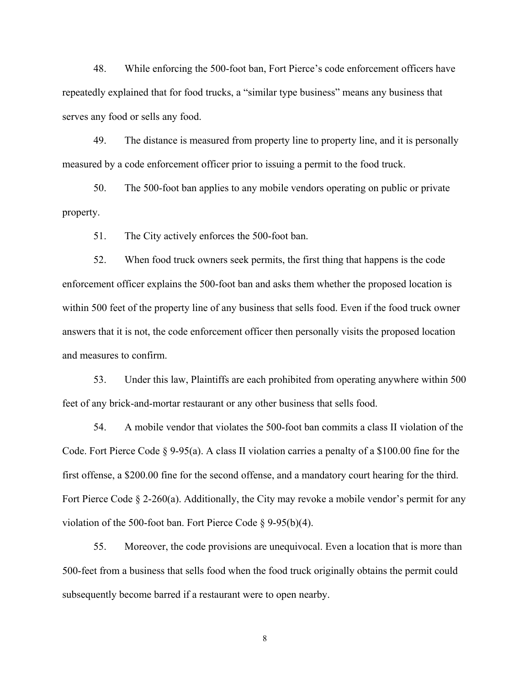48. While enforcing the 500-foot ban, Fort Pierce's code enforcement officers have repeatedly explained that for food trucks, a "similar type business" means any business that serves any food or sells any food.

49. The distance is measured from property line to property line, and it is personally measured by a code enforcement officer prior to issuing a permit to the food truck.

50. The 500-foot ban applies to any mobile vendors operating on public or private property.

51. The City actively enforces the 500-foot ban.

52. When food truck owners seek permits, the first thing that happens is the code enforcement officer explains the 500-foot ban and asks them whether the proposed location is within 500 feet of the property line of any business that sells food. Even if the food truck owner answers that it is not, the code enforcement officer then personally visits the proposed location and measures to confirm.

53. Under this law, Plaintiffs are each prohibited from operating anywhere within 500 feet of any brick-and-mortar restaurant or any other business that sells food.

54. A mobile vendor that violates the 500-foot ban commits a class II violation of the Code. Fort Pierce Code § 9-95(a). A class II violation carries a penalty of a \$100.00 fine for the first offense, a \$200.00 fine for the second offense, and a mandatory court hearing for the third. Fort Pierce Code § 2-260(a). Additionally, the City may revoke a mobile vendor's permit for any violation of the 500-foot ban. Fort Pierce Code § 9-95(b)(4).

55. Moreover, the code provisions are unequivocal. Even a location that is more than 500-feet from a business that sells food when the food truck originally obtains the permit could subsequently become barred if a restaurant were to open nearby.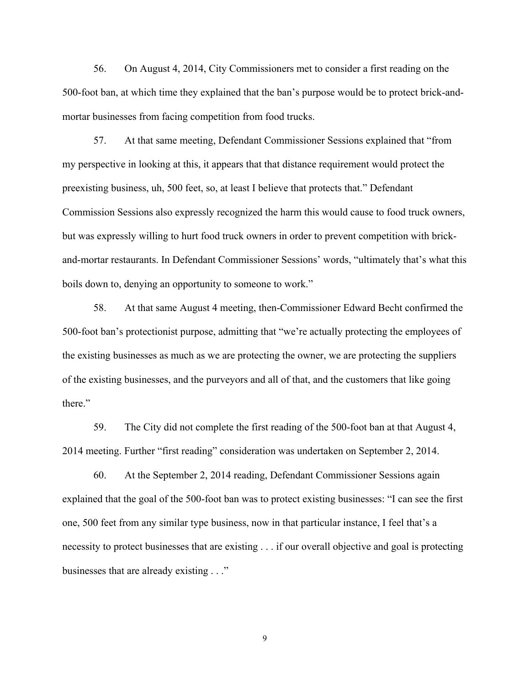56. On August 4, 2014, City Commissioners met to consider a first reading on the 500-foot ban, at which time they explained that the ban's purpose would be to protect brick-andmortar businesses from facing competition from food trucks.

57. At that same meeting, Defendant Commissioner Sessions explained that "from my perspective in looking at this, it appears that that distance requirement would protect the preexisting business, uh, 500 feet, so, at least I believe that protects that." Defendant Commission Sessions also expressly recognized the harm this would cause to food truck owners, but was expressly willing to hurt food truck owners in order to prevent competition with brickand-mortar restaurants. In Defendant Commissioner Sessions' words, "ultimately that's what this boils down to, denying an opportunity to someone to work."

58. At that same August 4 meeting, then-Commissioner Edward Becht confirmed the 500-foot ban's protectionist purpose, admitting that "we're actually protecting the employees of the existing businesses as much as we are protecting the owner, we are protecting the suppliers of the existing businesses, and the purveyors and all of that, and the customers that like going there."

59. The City did not complete the first reading of the 500-foot ban at that August 4, 2014 meeting. Further "first reading" consideration was undertaken on September 2, 2014.

60. At the September 2, 2014 reading, Defendant Commissioner Sessions again explained that the goal of the 500-foot ban was to protect existing businesses: "I can see the first one, 500 feet from any similar type business, now in that particular instance, I feel that's a necessity to protect businesses that are existing . . . if our overall objective and goal is protecting businesses that are already existing . . ."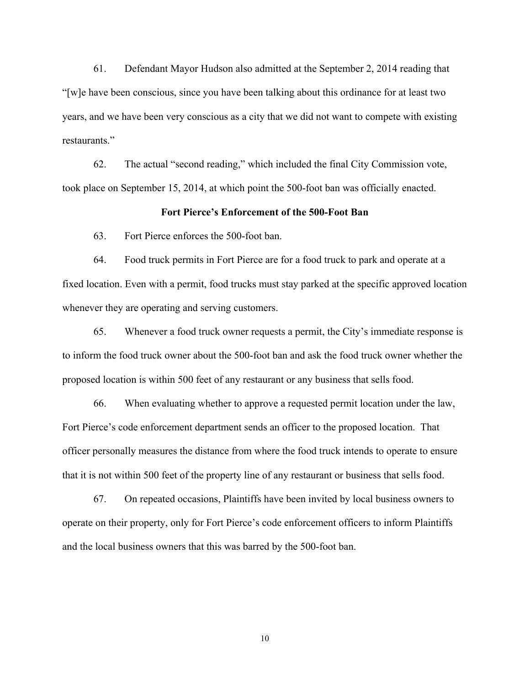61. Defendant Mayor Hudson also admitted at the September 2, 2014 reading that "[w]e have been conscious, since you have been talking about this ordinance for at least two years, and we have been very conscious as a city that we did not want to compete with existing restaurants."

62. The actual "second reading," which included the final City Commission vote, took place on September 15, 2014, at which point the 500-foot ban was officially enacted.

## **Fort Pierce's Enforcement of the 500-Foot Ban**

63. Fort Pierce enforces the 500-foot ban.

64. Food truck permits in Fort Pierce are for a food truck to park and operate at a fixed location. Even with a permit, food trucks must stay parked at the specific approved location whenever they are operating and serving customers.

65. Whenever a food truck owner requests a permit, the City's immediate response is to inform the food truck owner about the 500-foot ban and ask the food truck owner whether the proposed location is within 500 feet of any restaurant or any business that sells food.

66. When evaluating whether to approve a requested permit location under the law, Fort Pierce's code enforcement department sends an officer to the proposed location. That officer personally measures the distance from where the food truck intends to operate to ensure that it is not within 500 feet of the property line of any restaurant or business that sells food.

67. On repeated occasions, Plaintiffs have been invited by local business owners to operate on their property, only for Fort Pierce's code enforcement officers to inform Plaintiffs and the local business owners that this was barred by the 500-foot ban.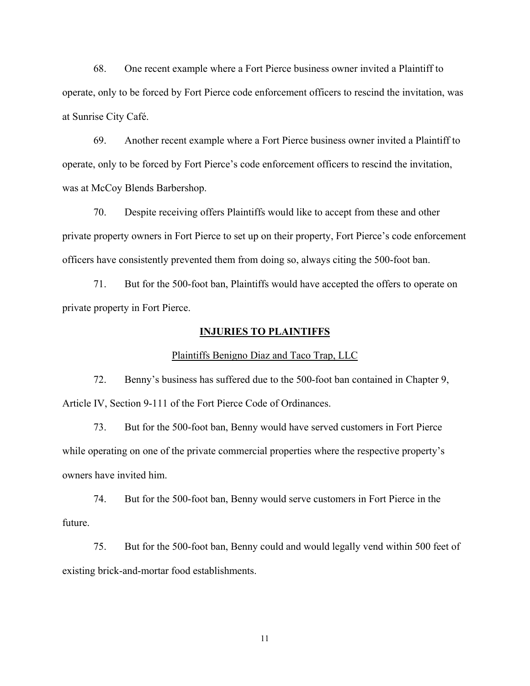68. One recent example where a Fort Pierce business owner invited a Plaintiff to operate, only to be forced by Fort Pierce code enforcement officers to rescind the invitation, was at Sunrise City Café.

69. Another recent example where a Fort Pierce business owner invited a Plaintiff to operate, only to be forced by Fort Pierce's code enforcement officers to rescind the invitation, was at McCoy Blends Barbershop.

70. Despite receiving offers Plaintiffs would like to accept from these and other private property owners in Fort Pierce to set up on their property, Fort Pierce's code enforcement officers have consistently prevented them from doing so, always citing the 500-foot ban.

71. But for the 500-foot ban, Plaintiffs would have accepted the offers to operate on private property in Fort Pierce.

# **INJURIES TO PLAINTIFFS**

#### Plaintiffs Benigno Diaz and Taco Trap, LLC

72. Benny's business has suffered due to the 500-foot ban contained in Chapter 9, Article IV, Section 9-111 of the Fort Pierce Code of Ordinances.

73. But for the 500-foot ban, Benny would have served customers in Fort Pierce while operating on one of the private commercial properties where the respective property's owners have invited him.

74. But for the 500-foot ban, Benny would serve customers in Fort Pierce in the future.

75. But for the 500-foot ban, Benny could and would legally vend within 500 feet of existing brick-and-mortar food establishments.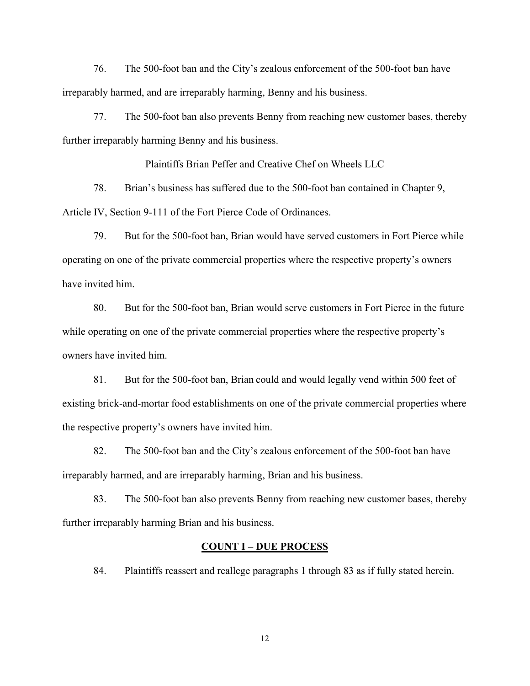76. The 500-foot ban and the City's zealous enforcement of the 500-foot ban have irreparably harmed, and are irreparably harming, Benny and his business.

77. The 500-foot ban also prevents Benny from reaching new customer bases, thereby further irreparably harming Benny and his business.

# Plaintiffs Brian Peffer and Creative Chef on Wheels LLC

78. Brian's business has suffered due to the 500-foot ban contained in Chapter 9, Article IV, Section 9-111 of the Fort Pierce Code of Ordinances.

79. But for the 500-foot ban, Brian would have served customers in Fort Pierce while operating on one of the private commercial properties where the respective property's owners have invited him.

80. But for the 500-foot ban, Brian would serve customers in Fort Pierce in the future while operating on one of the private commercial properties where the respective property's owners have invited him.

81. But for the 500-foot ban, Brian could and would legally vend within 500 feet of existing brick-and-mortar food establishments on one of the private commercial properties where the respective property's owners have invited him.

82. The 500-foot ban and the City's zealous enforcement of the 500-foot ban have irreparably harmed, and are irreparably harming, Brian and his business.

83. The 500-foot ban also prevents Benny from reaching new customer bases, thereby further irreparably harming Brian and his business.

# **COUNT I – DUE PROCESS**

84. Plaintiffs reassert and reallege paragraphs 1 through 83 as if fully stated herein.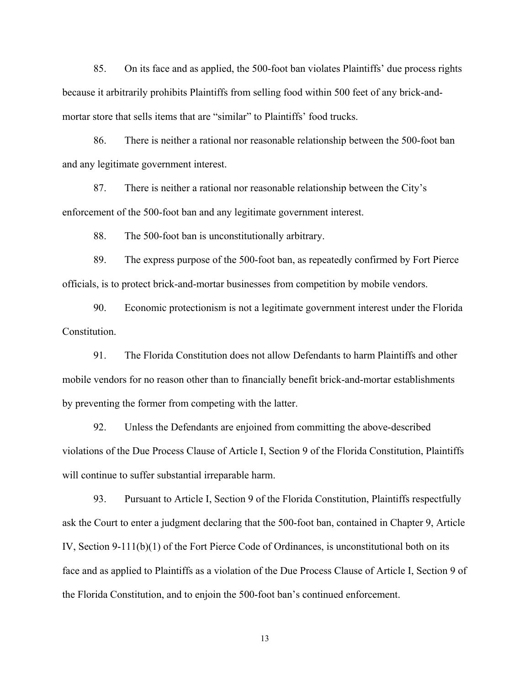85. On its face and as applied, the 500-foot ban violates Plaintiffs' due process rights because it arbitrarily prohibits Plaintiffs from selling food within 500 feet of any brick-andmortar store that sells items that are "similar" to Plaintiffs' food trucks.

86. There is neither a rational nor reasonable relationship between the 500-foot ban and any legitimate government interest.

87. There is neither a rational nor reasonable relationship between the City's enforcement of the 500-foot ban and any legitimate government interest.

88. The 500-foot ban is unconstitutionally arbitrary.

89. The express purpose of the 500-foot ban, as repeatedly confirmed by Fort Pierce officials, is to protect brick-and-mortar businesses from competition by mobile vendors.

90. Economic protectionism is not a legitimate government interest under the Florida Constitution.

91. The Florida Constitution does not allow Defendants to harm Plaintiffs and other mobile vendors for no reason other than to financially benefit brick-and-mortar establishments by preventing the former from competing with the latter.

92. Unless the Defendants are enjoined from committing the above-described violations of the Due Process Clause of Article I, Section 9 of the Florida Constitution, Plaintiffs will continue to suffer substantial irreparable harm.

93. Pursuant to Article I, Section 9 of the Florida Constitution, Plaintiffs respectfully ask the Court to enter a judgment declaring that the 500-foot ban, contained in Chapter 9, Article IV, Section 9-111(b)(1) of the Fort Pierce Code of Ordinances, is unconstitutional both on its face and as applied to Plaintiffs as a violation of the Due Process Clause of Article I, Section 9 of the Florida Constitution, and to enjoin the 500-foot ban's continued enforcement.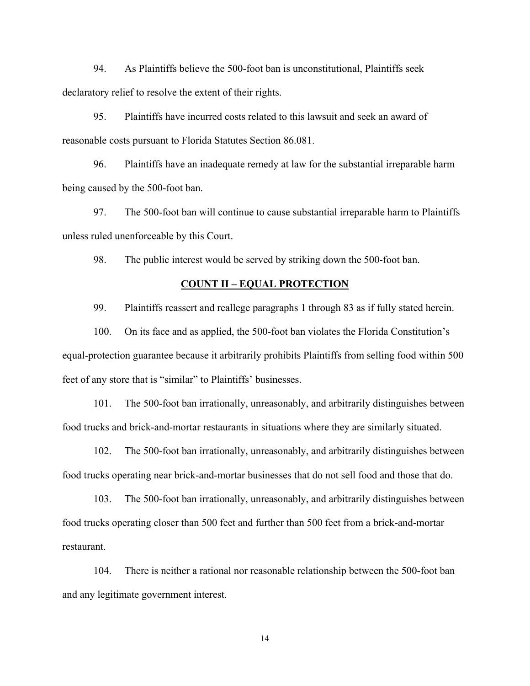94. As Plaintiffs believe the 500-foot ban is unconstitutional, Plaintiffs seek declaratory relief to resolve the extent of their rights.

95. Plaintiffs have incurred costs related to this lawsuit and seek an award of reasonable costs pursuant to Florida Statutes Section 86.081.

96. Plaintiffs have an inadequate remedy at law for the substantial irreparable harm being caused by the 500-foot ban.

97. The 500-foot ban will continue to cause substantial irreparable harm to Plaintiffs unless ruled unenforceable by this Court.

98. The public interest would be served by striking down the 500-foot ban.

### **COUNT II – EQUAL PROTECTION**

99. Plaintiffs reassert and reallege paragraphs 1 through 83 as if fully stated herein.

100. On its face and as applied, the 500-foot ban violates the Florida Constitution's equal-protection guarantee because it arbitrarily prohibits Plaintiffs from selling food within 500 feet of any store that is "similar" to Plaintiffs' businesses.

101. The 500-foot ban irrationally, unreasonably, and arbitrarily distinguishes between food trucks and brick-and-mortar restaurants in situations where they are similarly situated.

102. The 500-foot ban irrationally, unreasonably, and arbitrarily distinguishes between food trucks operating near brick-and-mortar businesses that do not sell food and those that do.

103. The 500-foot ban irrationally, unreasonably, and arbitrarily distinguishes between food trucks operating closer than 500 feet and further than 500 feet from a brick-and-mortar restaurant.

104. There is neither a rational nor reasonable relationship between the 500-foot ban and any legitimate government interest.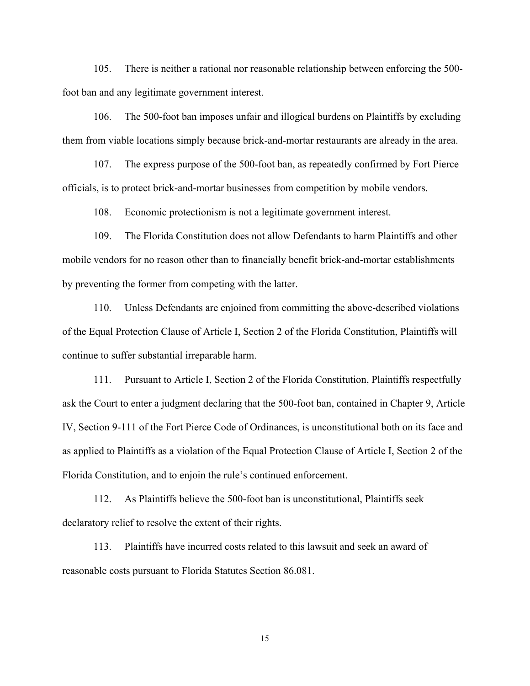105. There is neither a rational nor reasonable relationship between enforcing the 500 foot ban and any legitimate government interest.

106. The 500-foot ban imposes unfair and illogical burdens on Plaintiffs by excluding them from viable locations simply because brick-and-mortar restaurants are already in the area.

107. The express purpose of the 500-foot ban, as repeatedly confirmed by Fort Pierce officials, is to protect brick-and-mortar businesses from competition by mobile vendors.

108. Economic protectionism is not a legitimate government interest.

109. The Florida Constitution does not allow Defendants to harm Plaintiffs and other mobile vendors for no reason other than to financially benefit brick-and-mortar establishments by preventing the former from competing with the latter.

110. Unless Defendants are enjoined from committing the above-described violations of the Equal Protection Clause of Article I, Section 2 of the Florida Constitution, Plaintiffs will continue to suffer substantial irreparable harm.

111. Pursuant to Article I, Section 2 of the Florida Constitution, Plaintiffs respectfully ask the Court to enter a judgment declaring that the 500-foot ban, contained in Chapter 9, Article IV, Section 9-111 of the Fort Pierce Code of Ordinances, is unconstitutional both on its face and as applied to Plaintiffs as a violation of the Equal Protection Clause of Article I, Section 2 of the Florida Constitution, and to enjoin the rule's continued enforcement.

112. As Plaintiffs believe the 500-foot ban is unconstitutional, Plaintiffs seek declaratory relief to resolve the extent of their rights.

113. Plaintiffs have incurred costs related to this lawsuit and seek an award of reasonable costs pursuant to Florida Statutes Section 86.081.